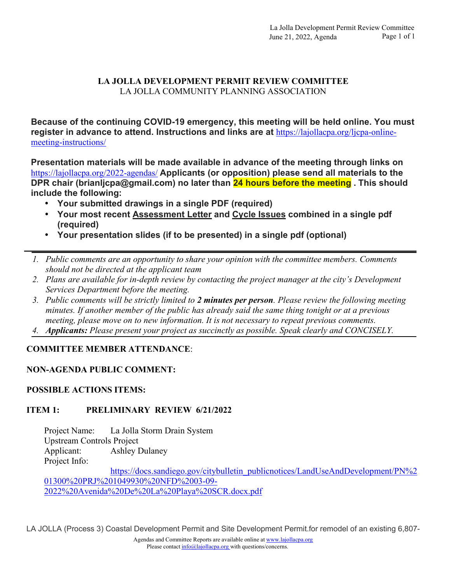# **LA JOLLA DEVELOPMENT PERMIT REVIEW COMMITTEE**  LA JOLLA COMMUNITY PLANNING ASSOCIATION

**Because of the continuing COVID-19 emergency, this meeting will be held online. You must register in advance to attend. Instructions and links are at** https://lajollacpa.org/ljcpa-onlinemeeting-instructions/

**Presentation materials will be made available in advance of the meeting through links on**  https://lajollacpa.org/2022-agendas/ **Applicants (or opposition) please send all materials to the DPR chair (brianljcpa@gmail.com) no later than 24 hours before the meeting . This should include the following:**

- **Your submitted drawings in a single PDF (required)**
- **Your most recent Assessment Letter and Cycle Issues combined in a single pdf (required)**
- **Your presentation slides (if to be presented) in a single pdf (optional)**
- *1. Public comments are an opportunity to share your opinion with the committee members. Comments should not be directed at the applicant team*
- *2. Plans are available for in-depth review by contacting the project manager at the city's Development Services Department before the meeting.*
- *3. Public comments will be strictly limited to 2 minutes per person. Please review the following meeting minutes. If another member of the public has already said the same thing tonight or at a previous meeting, please move on to new information. It is not necessary to repeat previous comments.*
- *4. Applicants: Please present your project as succinctly as possible. Speak clearly and CONCISELY.*

# **COMMITTEE MEMBER ATTENDANCE**:

### **NON-AGENDA PUBLIC COMMENT:**

### **POSSIBLE ACTIONS ITEMS:**

### **ITEM 1: PRELIMINARY REVIEW 6/21/2022**

Project Name: La Jolla Storm Drain System Upstream Controls Project Applicant: Ashley Dulaney Project Info:

https://docs.sandiego.gov/citybulletin\_publicnotices/LandUseAndDevelopment/PN%2 01300%20PRJ%201049930%20NFD%2003-09- 2022%20Avenida%20De%20La%20Playa%20SCR.docx.pdf

LA JOLLA (Process 3) Coastal Development Permit and Site Development Permit.for remodel of an existing 6,807-